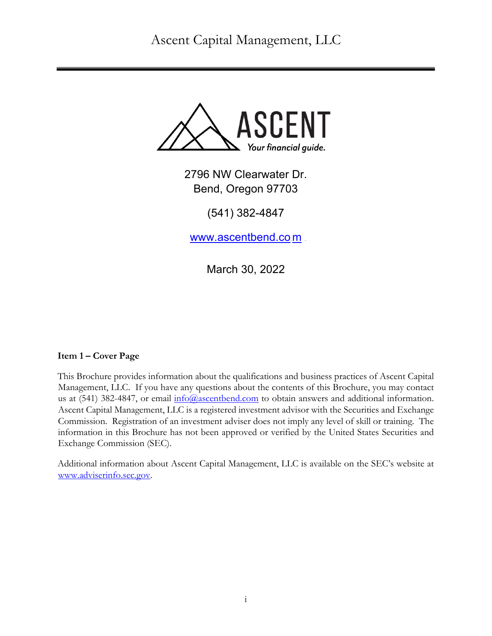Ascent Capital Management, LLC



2796 NW Clearwater Dr. Bend, Oregon 97703

(541) 382-4847

www.ascentbend.co*m* 

March 30, 2022

# **Item 1 – Cover Page**

This Brochure provides information about the qualifications and business practices of Ascent Capital Management, LLC. If you have any questions about the contents of this Brochure, you may contact us at  $(541)$  382-4847, or email  $\frac{info@ascentbend.com}$  to obtain answers and additional information. Ascent Capital Management, LLC is a registered investment advisor with the Securities and Exchange Commission. Registration of an investment adviser does not imply any level of skill or training. The information in this Brochure has not been approved or verified by the United States Securities and Exchange Commission (SEC).

Additional information about Ascent Capital Management, LLC is available on the SEC's website at www.adviserinfo.sec.gov.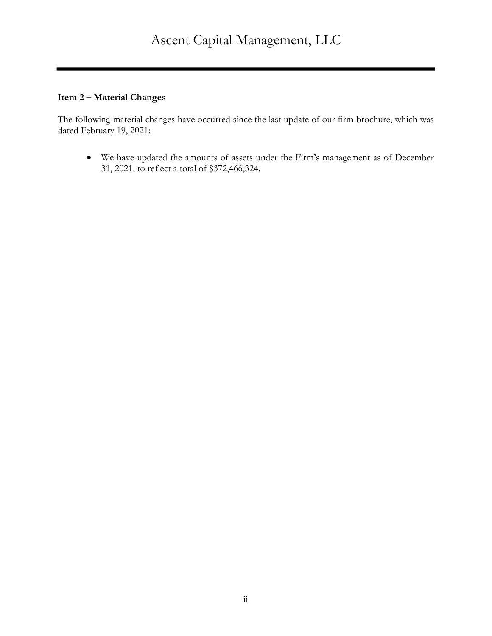#### **Item 2 – Material Changes**

The following material changes have occurred since the last update of our firm brochure, which was dated February 19, 2021:

• We have updated the amounts of assets under the Firm's management as of December 31, 2021, to reflect a total of \$372,466,324.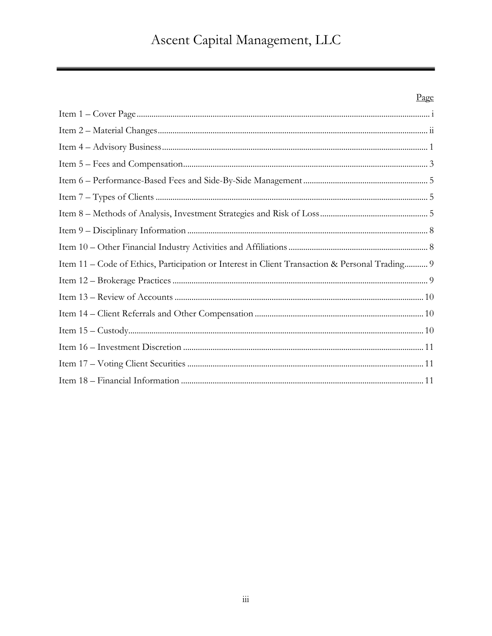# Ascent Capital Management, LLC

# Page

| Item 11 - Code of Ethics, Participation or Interest in Client Transaction & Personal Trading 9 |
|------------------------------------------------------------------------------------------------|
|                                                                                                |
|                                                                                                |
|                                                                                                |
|                                                                                                |
|                                                                                                |
|                                                                                                |
|                                                                                                |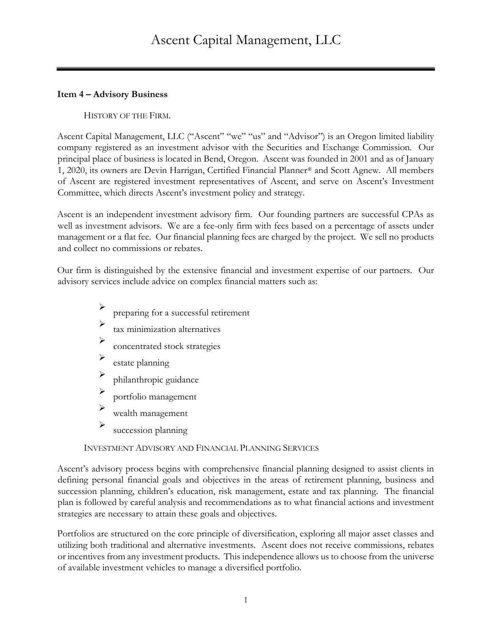#### **Item 4 – Advisory Business**

#### HISTORY OF THE FIRM.

Ascent Capital Management, LLC ("Ascent" "we" "us" and "Advisor") is an Oregon limited liability company registered as an investment advisor with the Securities and Exchange Commission. Our principal place of business is located in Bend, Oregon. Ascent was founded in 2001 and as of January 1, 2020, its owners are Devin Harrigan, Certified Financial Planner<sup>®</sup> and Scott Agnew. All members of Ascent are registered investment representatives of Ascent, and serve on Ascent's Investment Committee, which directs Ascent's investment policy and strategy.

Ascent is an independent investment advisory firm. Our founding partners are successful CPAs as well as investment advisors. We are a fee-only firm with fees based on a percentage of assets under management or a flat fee. Our financial planning fees are charged by the project. We sell no products and collect no commissions or rebates.

Our firm is distinguished by the extensive financial and investment expertise of our partners. Our advisory services include advice on complex financial matters such as:

- preparing for a successful retirement
- tax minimization alternatives
- concentrated stock strategies
- estate planning
- <sup>Ø</sup> philanthropic guidance
- <sup>Ø</sup> portfolio management
- $\triangleright$  wealth management
- $\sum$  succession planning

#### INVESTMENT ADVISORY AND FINANCIAL PLANNING SERVICES

Ascent's advisory process begins with comprehensive financial planning designed to assist clients in defining personal financial goals and objectives in the areas of retirement planning, business and succession planning, children's education, risk management, estate and tax planning. The financial plan is followed by careful analysis and recommendations as to what financial actions and investment strategies are necessary to attain these goals and objectives.

Portfolios are structured on the core principle of diversification, exploring all major asset classes and utilizing both traditional and alternative investments. Ascent does not receive commissions, rebates or incentives from any investment products. This independence allows us to choose from the universe of available investment vehicles to manage a diversified portfolio.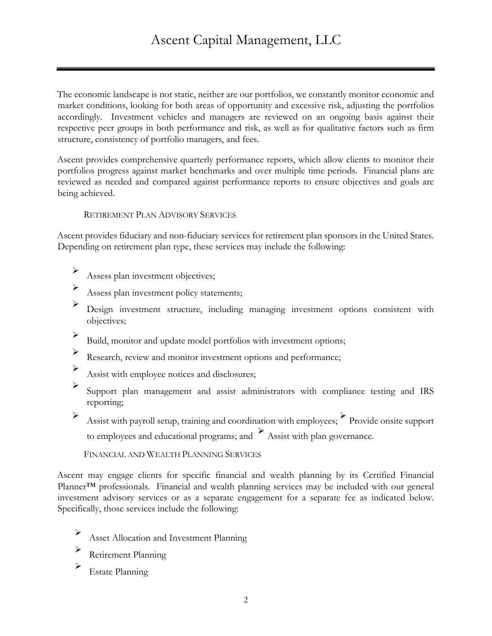The economic landscape is not static, neither are our portfolios, we constantly monitor economic and market conditions, looking for both areas of opportunity and excessive risk, adjusting the portfolios accordingly. Investment vehicles and managers are reviewed on an ongoing basis against their respective peer groups in both performance and risk, as well as for qualitative factors such as firm structure, consistency of portfolio managers, and fees.

Ascent provides comprehensive quarterly performance reports, which allow clients to monitor their portfolios progress against market benchmarks and over multiple time periods. Financial plans are reviewed as needed and compared against performance reports to ensure objectives and goals are being achieved.

#### RETIREMENT PLAN ADVISORY SERVICES

Ascent provides fiduciary and non-fiduciary services for retirement plan sponsors in the United States. Depending on retirement plan type, these services may include the following:

- Assess plan investment objectives;
- $\triangleright$  Assess plan investment policy statements;
- <sup>Ø</sup> Design investment structure, including managing investment options consistent with objectives;
- <sup>Ø</sup> Build, monitor and update model portfolios with investment options;
- <sup>Ø</sup> Research, review and monitor investment options and performance;
- <sup>Ø</sup> Assist with employee notices and disclosures;
- <sup>Ø</sup> Support plan management and assist administrators with compliance testing and IRS reporting;
- $\triangleright$  Assist with payroll setup, training and coordination with employees;  $\triangleright$  Provide onsite support to employees and educational programs; and  $\sum_{n=1}^{\infty}$  Assist with plan governance.

FINANCIAL AND WEALTH PLANNING SERVICES

Ascent may engage clients for specific financial and wealth planning by its Certified Financial Planner™ professionals. Financial and wealth planning services may be included with our general investment advisory services or as a separate engagement for a separate fee as indicated below. Specifically, those services include the following:

- <sup>Ø</sup> Asset Allocation and Investment Planning
- Retirement Planning
- $\triangleright$  Estate Planning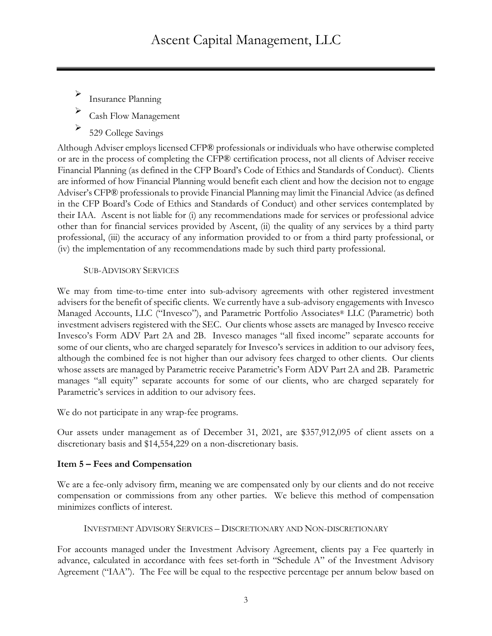Insurance Planning

<sup>Ø</sup> Cash Flow Management

529 College Savings

Although Adviser employs licensed CFP® professionals or individuals who have otherwise completed or are in the process of completing the CFP® certification process, not all clients of Adviser receive Financial Planning (as defined in the CFP Board's Code of Ethics and Standards of Conduct). Clients are informed of how Financial Planning would benefit each client and how the decision not to engage Adviser's CFP® professionals to provide Financial Planning may limit the Financial Advice (as defined in the CFP Board's Code of Ethics and Standards of Conduct) and other services contemplated by their IAA. Ascent is not liable for (i) any recommendations made for services or professional advice other than for financial services provided by Ascent, (ii) the quality of any services by a third party professional, (iii) the accuracy of any information provided to or from a third party professional, or (iv) the implementation of any recommendations made by such third party professional.

#### SUB-ADVISORY SERVICES

We may from time-to-time enter into sub-advisory agreements with other registered investment advisers for the benefit of specific clients. We currently have a sub-advisory engagements with Invesco Managed Accounts, LLC ("Invesco"), and Parametric Portfolio Associates® LLC (Parametric) both investment advisers registered with the SEC. Our clients whose assets are managed by Invesco receive Invesco's Form ADV Part 2A and 2B. Invesco manages "all fixed income" separate accounts for some of our clients, who are charged separately for Invesco's services in addition to our advisory fees, although the combined fee is not higher than our advisory fees charged to other clients. Our clients whose assets are managed by Parametric receive Parametric's Form ADV Part 2A and 2B. Parametric manages "all equity" separate accounts for some of our clients, who are charged separately for Parametric's services in addition to our advisory fees.

We do not participate in any wrap-fee programs.

Our assets under management as of December 31, 2021, are \$357,912,095 of client assets on a discretionary basis and \$14,554,229 on a non-discretionary basis.

# **Item 5 – Fees and Compensation**

We are a fee-only advisory firm, meaning we are compensated only by our clients and do not receive compensation or commissions from any other parties. We believe this method of compensation minimizes conflicts of interest.

```
INVESTMENT ADVISORY SERVICES – DISCRETIONARY AND NON-DISCRETIONARY
```
For accounts managed under the Investment Advisory Agreement, clients pay a Fee quarterly in advance, calculated in accordance with fees set-forth in "Schedule A" of the Investment Advisory Agreement ("IAA"). The Fee will be equal to the respective percentage per annum below based on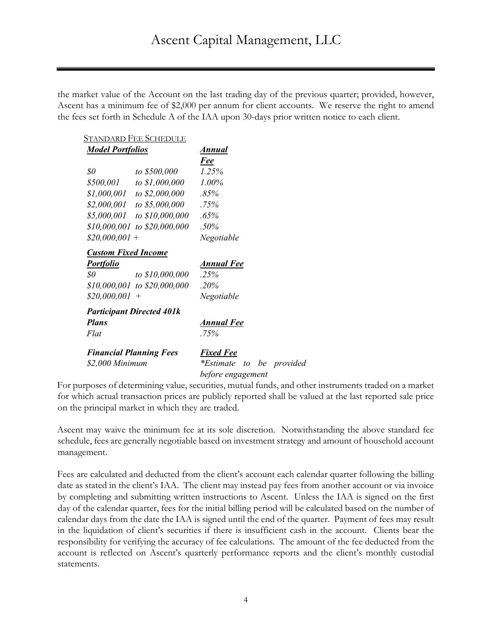the market value of the Account on the last trading day of the previous quarter; provided, however, Ascent has a minimum fee of \$2,000 per annum for client accounts. We reserve the right to amend the fees set forth in Schedule A of the IAA upon 30-days prior written notice to each client.

|                                | <b>STANDARD FEE SCHEDULE</b>     |                           |
|--------------------------------|----------------------------------|---------------------------|
| <b>Model Portfolios</b>        |                                  | Annual                    |
|                                |                                  | Fee                       |
| $\$0$                          | to \$500,000                     | 1.25%                     |
|                                | \$500,001 to \$1,000,000         | 1.00%                     |
|                                | \$1,000,001 to \$2,000,000       | .85%                      |
|                                | \$2,000,001 to \$5,000,000       | $.75\%$                   |
|                                | \$5,000,001 to \$10,000,000      | .65%                      |
|                                | \$10,000,001 to \$20,000,000     | $.50\%$                   |
| $$20,000,001$ +                |                                  | Negotiable                |
| <b>Custom Fixed Income</b>     |                                  |                           |
| <b>Portfolio</b>               |                                  | Annual Fee                |
| $\$0$                          | to \$10,000,000                  | .25%                      |
|                                | $$10,000,001$ to $$20,000,000$   | $.20\%$                   |
| $$20,000,001$ +                |                                  | Negotiable                |
|                                | <b>Participant Directed 401k</b> |                           |
| <b>Plans</b>                   |                                  | Annual Fee                |
| Flat                           |                                  | .75%                      |
| <b>Financial Planning Fees</b> |                                  | <b>Fixed Fee</b>          |
| \$2,000 Minimum                |                                  | <i>*Estimate to</i><br>he |
|                                |                                  | before engagement         |

For purposes of determining value, securities, mutual funds, and other instruments traded on a market for which actual transaction prices are publicly reported shall be valued at the last reported sale price on the principal market in which they are traded.

*brovided* 

Ascent may waive the minimum fee at its sole discretion. Notwithstanding the above standard fee schedule, fees are generally negotiable based on investment strategy and amount of household account management.

Fees are calculated and deducted from the client's account each calendar quarter following the billing date as stated in the client's IAA. The client may instead pay fees from another account or via invoice by completing and submitting written instructions to Ascent. Unless the IAA is signed on the first day of the calendar quarter, fees for the initial billing period will be calculated based on the number of calendar days from the date the IAA is signed until the end of the quarter. Payment of fees may result in the liquidation of client's securities if there is insufficient cash in the account. Clients bear the responsibility for verifying the accuracy of fee calculations. The amount of the fee deducted from the account is reflected on Ascent's quarterly performance reports and the client's monthly custodial statements.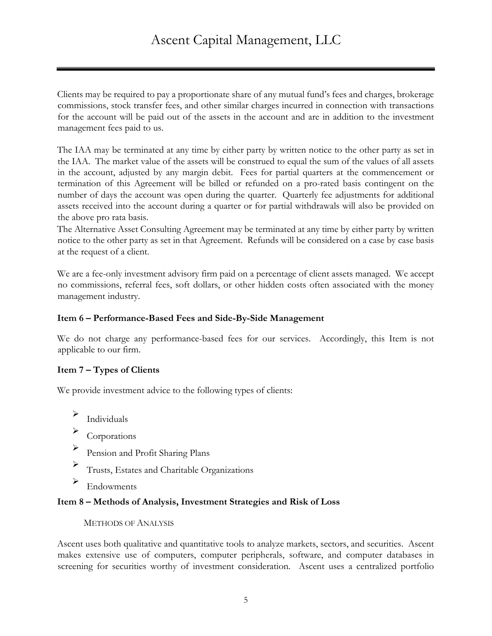Clients may be required to pay a proportionate share of any mutual fund's fees and charges, brokerage commissions, stock transfer fees, and other similar charges incurred in connection with transactions for the account will be paid out of the assets in the account and are in addition to the investment management fees paid to us.

The IAA may be terminated at any time by either party by written notice to the other party as set in the IAA. The market value of the assets will be construed to equal the sum of the values of all assets in the account, adjusted by any margin debit. Fees for partial quarters at the commencement or termination of this Agreement will be billed or refunded on a pro-rated basis contingent on the number of days the account was open during the quarter. Quarterly fee adjustments for additional assets received into the account during a quarter or for partial withdrawals will also be provided on the above pro rata basis.

The Alternative Asset Consulting Agreement may be terminated at any time by either party by written notice to the other party as set in that Agreement. Refunds will be considered on a case by case basis at the request of a client.

We are a fee-only investment advisory firm paid on a percentage of client assets managed. We accept no commissions, referral fees, soft dollars, or other hidden costs often associated with the money management industry.

#### **Item 6 – Performance-Based Fees and Side-By-Side Management**

We do not charge any performance-based fees for our services. Accordingly, this Item is not applicable to our firm.

#### **Item 7 – Types of Clients**

We provide investment advice to the following types of clients:

- $\sum$  Individuals
- $\sum_{\text{Corporations}}$
- <sup>Ø</sup> Pension and Profit Sharing Plans
- <sup>Ø</sup> Trusts, Estates and Charitable Organizations
- $\blacktriangleright$  Endowments

#### **Item 8 – Methods of Analysis, Investment Strategies and Risk of Loss**

#### METHODS OF ANALYSIS

Ascent uses both qualitative and quantitative tools to analyze markets, sectors, and securities. Ascent makes extensive use of computers, computer peripherals, software, and computer databases in screening for securities worthy of investment consideration. Ascent uses a centralized portfolio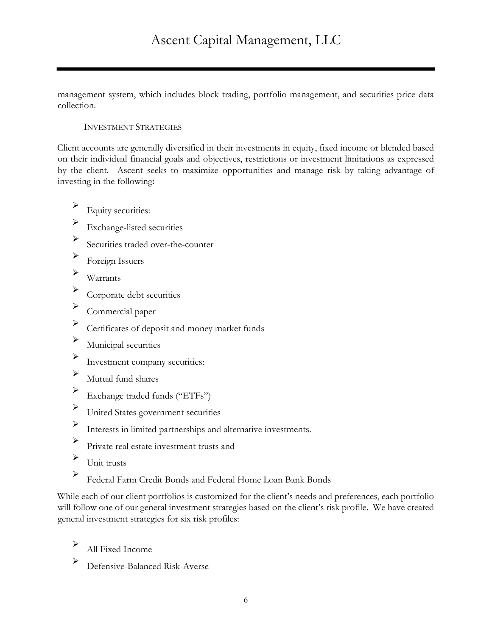management system, which includes block trading, portfolio management, and securities price data collection.

#### INVESTMENT STRATEGIES

Client accounts are generally diversified in their investments in equity, fixed income or blended based on their individual financial goals and objectives, restrictions or investment limitations as expressed by the client. Ascent seeks to maximize opportunities and manage risk by taking advantage of investing in the following:

- $\blacktriangleright$  Equity securities:
- $\triangleright$  Exchange-listed securities
- <sup>Ø</sup> Securities traded over-the-counter
- $\triangleright$  Foreign Issuers
- $\triangleright$  Warrants
- $\triangleright$  Corporate debt securities
- $\sum$  Commercial paper
- <sup>Ø</sup> Certificates of deposit and money market funds
- $\blacktriangleright$  Municipal securities
- <sup>Ø</sup> Investment company securities:
- $\blacktriangleright$  Mutual fund shares
- <sup>Ø</sup> Exchange traded funds ("ETFs")
- <sup>Ø</sup> United States government securities
- <sup>Ø</sup> Interests in limited partnerships and alternative investments.
- <sup>Ø</sup> Private real estate investment trusts and
- $\sum$  Unit trusts
- <sup>Ø</sup> Federal Farm Credit Bonds and Federal Home Loan Bank Bonds

While each of our client portfolios is customized for the client's needs and preferences, each portfolio will follow one of our general investment strategies based on the client's risk profile. We have created general investment strategies for six risk profiles:

- All Fixed Income
- <sup>Ø</sup> Defensive-Balanced Risk-Averse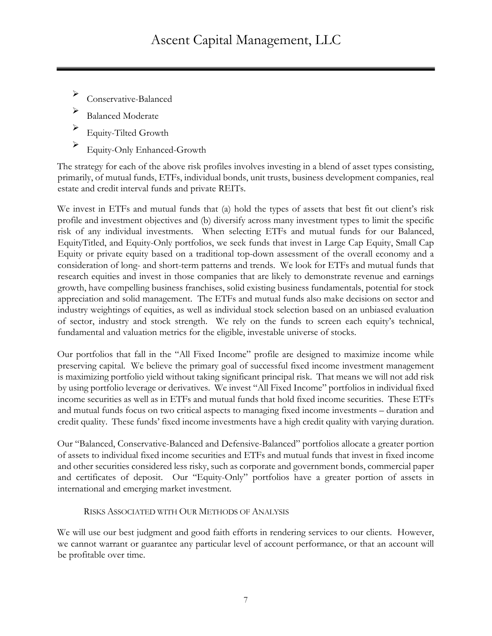- Conservative-Balanced
- <sup>Ø</sup> Balanced Moderate
- <sup>Ø</sup> Equity-Tilted Growth
- <sup>Ø</sup> Equity-Only Enhanced-Growth

The strategy for each of the above risk profiles involves investing in a blend of asset types consisting, primarily, of mutual funds, ETFs, individual bonds, unit trusts, business development companies, real estate and credit interval funds and private REITs.

We invest in ETFs and mutual funds that (a) hold the types of assets that best fit out client's risk profile and investment objectives and (b) diversify across many investment types to limit the specific risk of any individual investments. When selecting ETFs and mutual funds for our Balanced, EquityTitled, and Equity-Only portfolios, we seek funds that invest in Large Cap Equity, Small Cap Equity or private equity based on a traditional top-down assessment of the overall economy and a consideration of long- and short-term patterns and trends. We look for ETFs and mutual funds that research equities and invest in those companies that are likely to demonstrate revenue and earnings growth, have compelling business franchises, solid existing business fundamentals, potential for stock appreciation and solid management. The ETFs and mutual funds also make decisions on sector and industry weightings of equities, as well as individual stock selection based on an unbiased evaluation of sector, industry and stock strength. We rely on the funds to screen each equity's technical, fundamental and valuation metrics for the eligible, investable universe of stocks.

Our portfolios that fall in the "All Fixed Income" profile are designed to maximize income while preserving capital. We believe the primary goal of successful fixed income investment management is maximizing portfolio yield without taking significant principal risk. That means we will not add risk by using portfolio leverage or derivatives. We invest "All Fixed Income" portfolios in individual fixed income securities as well as in ETFs and mutual funds that hold fixed income securities. These ETFs and mutual funds focus on two critical aspects to managing fixed income investments – duration and credit quality. These funds' fixed income investments have a high credit quality with varying duration.

Our "Balanced, Conservative-Balanced and Defensive-Balanced" portfolios allocate a greater portion of assets to individual fixed income securities and ETFs and mutual funds that invest in fixed income and other securities considered less risky, such as corporate and government bonds, commercial paper and certificates of deposit. Our "Equity-Only" portfolios have a greater portion of assets in international and emerging market investment.

#### RISKS ASSOCIATED WITH OUR METHODS OF ANALYSIS

We will use our best judgment and good faith efforts in rendering services to our clients. However, we cannot warrant or guarantee any particular level of account performance, or that an account will be profitable over time.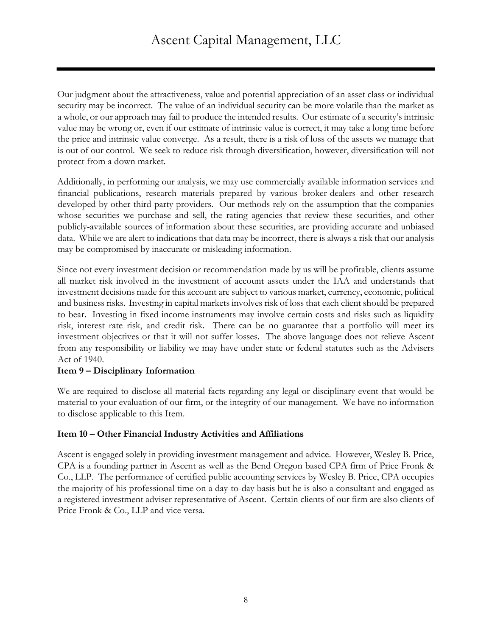Our judgment about the attractiveness, value and potential appreciation of an asset class or individual security may be incorrect. The value of an individual security can be more volatile than the market as a whole, or our approach may fail to produce the intended results. Our estimate of a security's intrinsic value may be wrong or, even if our estimate of intrinsic value is correct, it may take a long time before the price and intrinsic value converge. As a result, there is a risk of loss of the assets we manage that is out of our control. We seek to reduce risk through diversification, however, diversification will not protect from a down market.

Additionally, in performing our analysis, we may use commercially available information services and financial publications, research materials prepared by various broker-dealers and other research developed by other third-party providers. Our methods rely on the assumption that the companies whose securities we purchase and sell, the rating agencies that review these securities, and other publicly-available sources of information about these securities, are providing accurate and unbiased data. While we are alert to indications that data may be incorrect, there is always a risk that our analysis may be compromised by inaccurate or misleading information.

Since not every investment decision or recommendation made by us will be profitable, clients assume all market risk involved in the investment of account assets under the IAA and understands that investment decisions made for this account are subject to various market, currency, economic, political and business risks. Investing in capital markets involves risk of loss that each client should be prepared to bear. Investing in fixed income instruments may involve certain costs and risks such as liquidity risk, interest rate risk, and credit risk. There can be no guarantee that a portfolio will meet its investment objectives or that it will not suffer losses. The above language does not relieve Ascent from any responsibility or liability we may have under state or federal statutes such as the Advisers Act of 1940.

#### **Item 9 – Disciplinary Information**

We are required to disclose all material facts regarding any legal or disciplinary event that would be material to your evaluation of our firm, or the integrity of our management. We have no information to disclose applicable to this Item.

#### **Item 10 – Other Financial Industry Activities and Affiliations**

Ascent is engaged solely in providing investment management and advice. However, Wesley B. Price, CPA is a founding partner in Ascent as well as the Bend Oregon based CPA firm of Price Fronk & Co., LLP. The performance of certified public accounting services by Wesley B. Price, CPA occupies the majority of his professional time on a day-to-day basis but he is also a consultant and engaged as a registered investment adviser representative of Ascent. Certain clients of our firm are also clients of Price Fronk & Co., LLP and vice versa.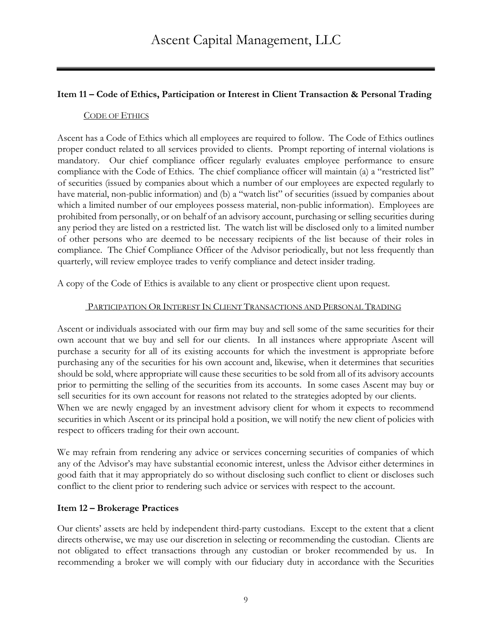# **Item 11 – Code of Ethics, Participation or Interest in Client Transaction & Personal Trading**

#### CODE OF ETHICS

Ascent has a Code of Ethics which all employees are required to follow. The Code of Ethics outlines proper conduct related to all services provided to clients. Prompt reporting of internal violations is mandatory. Our chief compliance officer regularly evaluates employee performance to ensure compliance with the Code of Ethics. The chief compliance officer will maintain (a) a "restricted list" of securities (issued by companies about which a number of our employees are expected regularly to have material, non-public information) and (b) a "watch list" of securities (issued by companies about which a limited number of our employees possess material, non-public information). Employees are prohibited from personally, or on behalf of an advisory account, purchasing or selling securities during any period they are listed on a restricted list. The watch list will be disclosed only to a limited number of other persons who are deemed to be necessary recipients of the list because of their roles in compliance. The Chief Compliance Officer of the Advisor periodically, but not less frequently than quarterly, will review employee trades to verify compliance and detect insider trading.

A copy of the Code of Ethics is available to any client or prospective client upon request.

# PARTICIPATION OR INTEREST IN CLIENT TRANSACTIONS AND PERSONAL TRADING

Ascent or individuals associated with our firm may buy and sell some of the same securities for their own account that we buy and sell for our clients. In all instances where appropriate Ascent will purchase a security for all of its existing accounts for which the investment is appropriate before purchasing any of the securities for his own account and, likewise, when it determines that securities should be sold, where appropriate will cause these securities to be sold from all of its advisory accounts prior to permitting the selling of the securities from its accounts. In some cases Ascent may buy or sell securities for its own account for reasons not related to the strategies adopted by our clients. When we are newly engaged by an investment advisory client for whom it expects to recommend securities in which Ascent or its principal hold a position, we will notify the new client of policies with respect to officers trading for their own account.

We may refrain from rendering any advice or services concerning securities of companies of which any of the Advisor's may have substantial economic interest, unless the Advisor either determines in good faith that it may appropriately do so without disclosing such conflict to client or discloses such conflict to the client prior to rendering such advice or services with respect to the account.

# **Item 12 – Brokerage Practices**

Our clients' assets are held by independent third-party custodians. Except to the extent that a client directs otherwise, we may use our discretion in selecting or recommending the custodian. Clients are not obligated to effect transactions through any custodian or broker recommended by us. In recommending a broker we will comply with our fiduciary duty in accordance with the Securities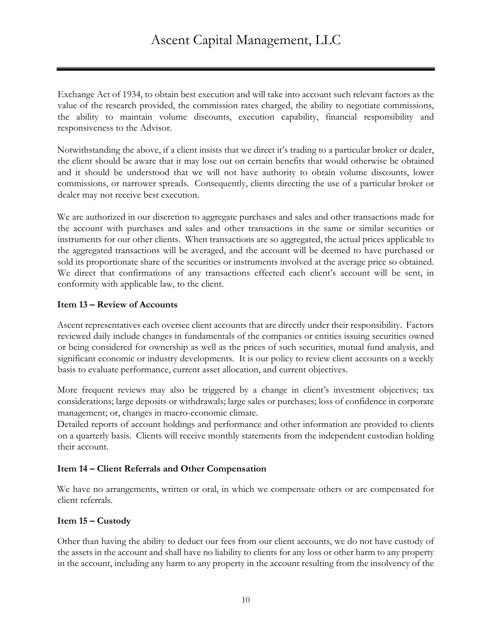Exchange Act of 1934, to obtain best execution and will take into account such relevant factors as the value of the research provided, the commission rates charged, the ability to negotiate commissions, the ability to maintain volume discounts, execution capability, financial responsibility and responsiveness to the Advisor.

Notwithstanding the above, if a client insists that we direct it's trading to a particular broker or dealer, the client should be aware that it may lose out on certain benefits that would otherwise be obtained and it should be understood that we will not have authority to obtain volume discounts, lower commissions, or narrower spreads. Consequently, clients directing the use of a particular broker or dealer may not receive best execution.

We are authorized in our discretion to aggregate purchases and sales and other transactions made for the account with purchases and sales and other transactions in the same or similar securities or instruments for our other clients. When transactions are so aggregated, the actual prices applicable to the aggregated transactions will be averaged, and the account will be deemed to have purchased or sold its proportionate share of the securities or instruments involved at the average price so obtained. We direct that confirmations of any transactions effected each client's account will be sent, in conformity with applicable law, to the client.

#### **Item 13 – Review of Accounts**

Ascent representatives each oversee client accounts that are directly under their responsibility. Factors reviewed daily include changes in fundamentals of the companies or entities issuing securities owned or being considered for ownership as well as the prices of such securities, mutual fund analysis, and significant economic or industry developments. It is our policy to review client accounts on a weekly basis to evaluate performance, current asset allocation, and current objectives.

More frequent reviews may also be triggered by a change in client's investment objectives; tax considerations; large deposits or withdrawals; large sales or purchases; loss of confidence in corporate management; or, changes in macro-economic climate.

Detailed reports of account holdings and performance and other information are provided to clients on a quarterly basis. Clients will receive monthly statements from the independent custodian holding their account.

# **Item 14 – Client Referrals and Other Compensation**

We have no arrangements, written or oral, in which we compensate others or are compensated for client referrals.

# **Item 15 – Custody**

Other than having the ability to deduct our fees from our client accounts, we do not have custody of the assets in the account and shall have no liability to clients for any loss or other harm to any property in the account, including any harm to any property in the account resulting from the insolvency of the